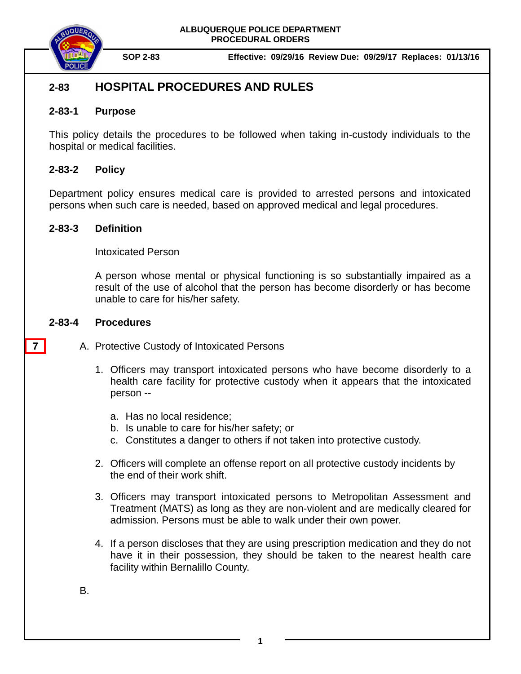



**SOP 2-83 Effective: 09/29/16 Review Due: 09/29/17 Replaces: 01/13/16**

# **2-83 HOSPITAL PROCEDURES AND RULES**

### **2-83-1 Purpose**

This policy details the procedures to be followed when taking in-custody individuals to the hospital or medical facilities.

## **2-83-2 Policy**

Department policy ensures medical care is provided to arrested persons and intoxicated persons when such care is needed, based on approved medical and legal procedures.

### **2-83-3 Definition**

Intoxicated Person

A person whose mental or physical functioning is so substantially impaired as a result of the use of alcohol that the person has become disorderly or has become unable to care for his/her safety.

### **2-83-4 Procedures**

**7**

- A. Protective Custody of Intoxicated Persons
	- 1. Officers may transport intoxicated persons who have become disorderly to a health care facility for protective custody when it appears that the intoxicated person -
		- a. Has no local residence;
		- b. Is unable to care for his/her safety; or
		- c. Constitutes a danger to others if not taken into protective custody.
	- 2. Officers will complete an offense report on all protective custody incidents by the end of their work shift.
	- 3. Officers may transport intoxicated persons to Metropolitan Assessment and Treatment (MATS) as long as they are non-violent and are medically cleared for admission. Persons must be able to walk under their own power.
	- 4. If a person discloses that they are using prescription medication and they do not have it in their possession, they should be taken to the nearest health care facility within Bernalillo County.

B.

**1**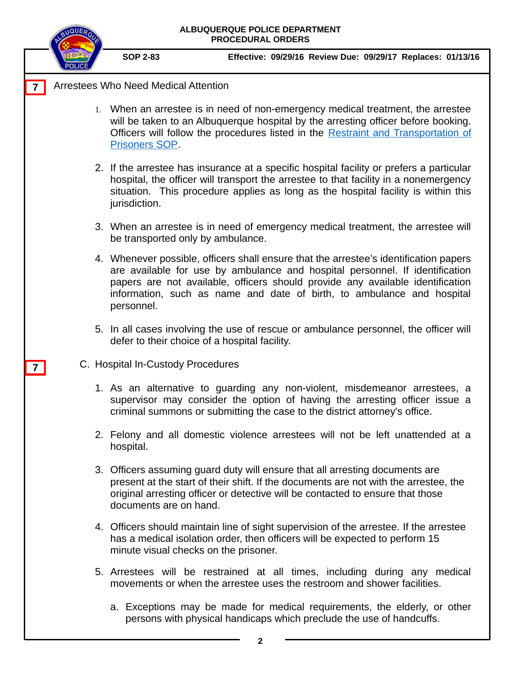| <b>NQUEA</b>                                | ALBUQUERQUE POLICE DEPARTMENT<br><b>PROCEDURAL ORDERS</b> |                                               |  |                                                                                                                                                                                                                                                                                                                                   |  |
|---------------------------------------------|-----------------------------------------------------------|-----------------------------------------------|--|-----------------------------------------------------------------------------------------------------------------------------------------------------------------------------------------------------------------------------------------------------------------------------------------------------------------------------------|--|
|                                             | <b>SOP 2-83</b>                                           |                                               |  | Effective: 09/29/16 Review Due: 09/29/17 Replaces: 01/13/16                                                                                                                                                                                                                                                                       |  |
| <b>Arrestees Who Need Medical Attention</b> |                                                           |                                               |  |                                                                                                                                                                                                                                                                                                                                   |  |
|                                             | Prisoners SOP.                                            |                                               |  | 1. When an arrestee is in need of non-emergency medical treatment, the arrestee<br>will be taken to an Albuquerque hospital by the arresting officer before booking.<br>Officers will follow the procedures listed in the Restraint and Transportation of                                                                         |  |
|                                             | jurisdiction.                                             |                                               |  | 2. If the arrestee has insurance at a specific hospital facility or prefers a particular<br>hospital, the officer will transport the arrestee to that facility in a nonemergency<br>situation. This procedure applies as long as the hospital facility is within this                                                             |  |
|                                             | be transported only by ambulance.                         |                                               |  | 3. When an arrestee is in need of emergency medical treatment, the arrestee will                                                                                                                                                                                                                                                  |  |
|                                             | personnel.                                                |                                               |  | 4. Whenever possible, officers shall ensure that the arrestee's identification papers<br>are available for use by ambulance and hospital personnel. If identification<br>papers are not available, officers should provide any available identification<br>information, such as name and date of birth, to ambulance and hospital |  |
|                                             |                                                           | defer to their choice of a hospital facility. |  | 5. In all cases involving the use of rescue or ambulance personnel, the officer will                                                                                                                                                                                                                                              |  |
| C. Hospital In-Custody Procedures           |                                                           |                                               |  |                                                                                                                                                                                                                                                                                                                                   |  |
|                                             |                                                           |                                               |  | 1. As an alternative to guarding any non-violent, misdemeanor arrestees, a<br>supervisor may consider the option of having the arresting officer issue a<br>criminal summons or submitting the case to the district attorney's office.                                                                                            |  |
|                                             | hospital.                                                 |                                               |  | 2. Felony and all domestic violence arrestees will not be left unattended at a                                                                                                                                                                                                                                                    |  |
|                                             | documents are on hand.                                    |                                               |  | 3. Officers assuming guard duty will ensure that all arresting documents are<br>present at the start of their shift. If the documents are not with the arrestee, the<br>original arresting officer or detective will be contacted to ensure that those                                                                            |  |
|                                             |                                                           | minute visual checks on the prisoner.         |  | 4. Officers should maintain line of sight supervision of the arrestee. If the arrestee<br>has a medical isolation order, then officers will be expected to perform 15                                                                                                                                                             |  |
|                                             |                                                           |                                               |  | 5. Arrestees will be restrained at all times, including during any medical<br>movements or when the arrestee uses the restroom and shower facilities.                                                                                                                                                                             |  |
|                                             |                                                           |                                               |  | a. Exceptions may be made for medical requirements, the elderly, or other<br>persons with physical handicaps which preclude the use of handcuffs.                                                                                                                                                                                 |  |